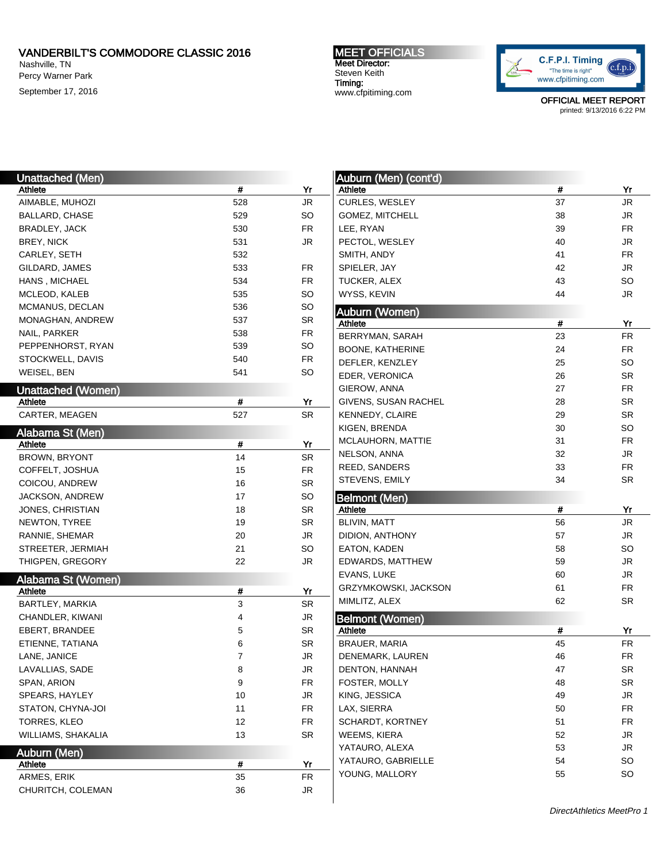Nashville, TN Percy Warner Park September 17, 2016 MEET OFFICIALS Meet Director: Steven Keith Timing: www.cfpitiming.com



| <b>Unattached (Men)</b>              |          |                 | Auburn (Men) (cont'd)  |    |                 |
|--------------------------------------|----------|-----------------|------------------------|----|-----------------|
| Athlete                              | #        | Yr              | Athlete                | #  | Yr              |
| AIMABLE, MUHOZI                      | 528      | <b>JR</b>       | CURLES, WESLEY         | 37 | <b>JR</b>       |
| BALLARD, CHASE                       | 529      | SO              | GOMEZ, MITCHELL        | 38 | <b>JR</b>       |
| <b>BRADLEY, JACK</b>                 | 530      | <b>FR</b>       | LEE, RYAN              | 39 | <b>FR</b>       |
| <b>BREY, NICK</b>                    | 531      | <b>JR</b>       | PECTOL, WESLEY         | 40 | <b>JR</b>       |
| CARLEY, SETH                         | 532      |                 | SMITH, ANDY            | 41 | <b>FR</b>       |
| GILDARD, JAMES                       | 533      | FR              | SPIELER, JAY           | 42 | <b>JR</b>       |
| HANS, MICHAEL                        | 534      | <b>FR</b>       | TUCKER, ALEX           | 43 | <b>SO</b>       |
| MCLEOD, KALEB                        | 535      | SO              | WYSS, KEVIN            | 44 | <b>JR</b>       |
| MCMANUS, DECLAN                      | 536      | <b>SO</b>       | <b>Auburn (Women)</b>  |    |                 |
| MONAGHAN, ANDREW                     | 537      | SR              | Athlete                | #  | Yr              |
| NAIL, PARKER                         | 538      | <b>FR</b>       | BERRYMAN, SARAH        | 23 | <b>FR</b>       |
| PEPPENHORST, RYAN                    | 539      | <b>SO</b>       | BOONE, KATHERINE       | 24 | FR              |
| STOCKWELL, DAVIS                     | 540      | FR              | DEFLER, KENZLEY        | 25 | <b>SO</b>       |
| WEISEL, BEN                          | 541      | <b>SO</b>       | EDER, VERONICA         | 26 | <b>SR</b>       |
|                                      |          |                 | GIEROW, ANNA           | 27 | <b>FR</b>       |
| <b>Unattached (Women)</b><br>Athlete | #        | Yr              | GIVENS, SUSAN RACHEL   | 28 | <b>SR</b>       |
| CARTER, MEAGEN                       | 527      | <b>SR</b>       |                        |    |                 |
|                                      |          |                 | KENNEDY, CLAIRE        | 29 | <b>SR</b>       |
| Alabama St (Men)                     |          |                 | KIGEN, BRENDA          | 30 | <b>SO</b>       |
| Athlete                              | #        | Yr              | MCLAUHORN, MATTIE      | 31 | <b>FR</b>       |
| <b>BROWN, BRYONT</b>                 | 14       | <b>SR</b>       | NELSON, ANNA           | 32 | <b>JR</b>       |
| COFFELT, JOSHUA                      | 15       | FR              | REED, SANDERS          | 33 | <b>FR</b>       |
| COICOU, ANDREW                       | 16       | SR              | STEVENS, EMILY         | 34 | SR              |
|                                      |          |                 |                        |    |                 |
| JACKSON, ANDREW                      | 17       | <b>SO</b>       | <b>Belmont (Men)</b>   |    |                 |
| JONES, CHRISTIAN                     | 18       | <b>SR</b>       | Athlete                | #  | Yr              |
| NEWTON, TYREE                        | 19       | <b>SR</b>       | <b>BLIVIN, MATT</b>    | 56 | <b>JR</b>       |
| RANNIE, SHEMAR                       | 20       | JR              | DIDION, ANTHONY        | 57 | <b>JR</b>       |
| STREETER, JERMIAH                    | 21       | SO              | EATON, KADEN           | 58 | <b>SO</b>       |
| THIGPEN, GREGORY                     | 22       | JR              | EDWARDS, MATTHEW       | 59 | <b>JR</b>       |
|                                      |          |                 | EVANS, LUKE            | 60 | <b>JR</b>       |
| Alabama St (Women)                   |          |                 | GRZYMKOWSKI, JACKSON   | 61 | <b>FR</b>       |
| Athlete                              | #<br>3   | Yr<br><b>SR</b> | MIMLITZ, ALEX          | 62 | <b>SR</b>       |
| BARTLEY, MARKIA                      |          |                 |                        |    |                 |
| CHANDLER, KIWANI                     | 4        | JR              | <b>Belmont (Women)</b> |    |                 |
| EBERT, BRANDEE<br>ETIENNE, TATIANA   | 5        | SR              | Athlete                | #  | Yr<br><b>FR</b> |
|                                      | 6        | SR              | BRAUER, MARIA          | 45 |                 |
| LANE, JANICE                         | 7        | $\mathsf{JR}$   | DENEMARK, LAUREN       | 46 | ${\sf FR}$      |
| LAVALLIAS, SADE                      | 8        | JR              | DENTON, HANNAH         | 47 | <b>SR</b>       |
| SPAN, ARION                          | 9        | FR              | FOSTER, MOLLY          | 48 | <b>SR</b>       |
| SPEARS, HAYLEY                       | 10       | JR              | KING, JESSICA          | 49 | JR              |
| STATON, CHYNA-JOI                    | 11       | FR              | LAX, SIERRA            | 50 | <b>FR</b>       |
| TORRES, KLEO                         | 12       | FR              | SCHARDT, KORTNEY       | 51 | <b>FR</b>       |
| WILLIAMS, SHAKALIA                   | 13       | SR              | WEEMS, KIERA           | 52 | JR              |
| Auburn (Men)                         |          |                 | YATAURO, ALEXA         | 53 | JR              |
| Athlete                              | #        | Yr              | YATAURO, GABRIELLE     | 54 | <b>SO</b>       |
| ARMES, ERIK<br>CHURITCH, COLEMAN     | 35<br>36 | <b>FR</b><br>JR | YOUNG, MALLORY         | 55 | <b>SO</b>       |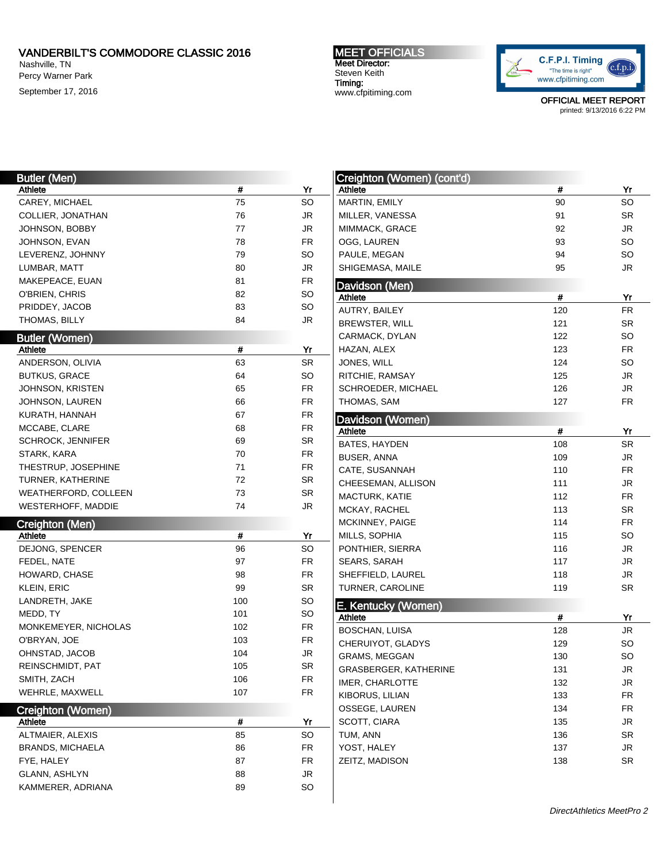Nashville, TN Percy Warner Park

September 17, 2016

MEET OFFICIALS Meet Director: Steven Keith Timing: www.cfpitiming.com



| <b>Butler (Men)</b>                |     |           |
|------------------------------------|-----|-----------|
| Athlete                            | #   | Yr        |
| CAREY, MICHAEL                     | 75  | SO        |
| COLLIER, JONATHAN                  | 76  | JR        |
| JOHNSON, BOBBY                     | 77  | JR        |
| JOHNSON, EVAN                      | 78  | <b>FR</b> |
| LEVERENZ, JOHNNY                   | 79  | SO        |
| LUMBAR, MATT                       | 80  | JR        |
| MAKEPEACE, EUAN                    | 81  | <b>FR</b> |
| O'BRIEN, CHRIS                     | 82  | SO        |
| PRIDDEY, JACOB                     | 83  | SO        |
| THOMAS, BILLY                      | 84  | JR        |
| <b>Butler (Women)</b>              |     |           |
| Athlete                            | #   | Yr        |
| ANDERSON, OLIVIA                   | 63  | SR        |
| <b>BUTKUS, GRACE</b>               | 64  | SO        |
| JOHNSON, KRISTEN                   | 65  | FR        |
| JOHNSON, LAUREN                    | 66  | FR        |
|                                    | 67  | FR        |
| KURATH, HANNAH                     |     | FR        |
| MCCABE, CLARE                      | 68  |           |
| <b>SCHROCK, JENNIFER</b>           | 69  | SR        |
| STARK, KARA                        | 70  | FR        |
| THESTRUP, JOSEPHINE                | 71  | FR        |
| TURNER, KATHERINE                  | 72  | SR        |
| WEATHERFORD, COLLEEN               | 73  | SR        |
|                                    |     |           |
| <b>WESTERHOFF, MADDIE</b>          | 74  | JR        |
| <b>Creighton (Men)</b>             |     |           |
| Athlete                            | #   | Yr        |
| DEJONG, SPENCER                    | 96  | SO        |
| FEDEL, NATE                        | 97  | FR        |
| HOWARD, CHASE                      | 98  | FR        |
| KLEIN, ERIC                        | 99  | SR        |
| LANDRETH, JAKE                     | 100 | SO        |
| MEDD, TY                           | 101 | SO        |
| MONKEMEYER, NICHOLAS               | 102 | FR        |
| O'BRYAN, JOE                       | 103 | FR        |
| OHNSTAD, JACOB                     | 104 | JR        |
| REINSCHMIDT, PAT                   | 105 | SR        |
| SMITH, ZACH                        | 106 | FR        |
| WEHRLE, MAXWELL                    | 107 | FR        |
|                                    |     |           |
| Creighton (Women)<br>Athlete       | #   | Yr        |
| ALTMAIER, ALEXIS                   | 85  | SO        |
| <b>BRANDS, MICHAELA</b>            | 86  | FR        |
| FYE, HALEY                         | 87  | FR        |
|                                    | 88  | JR        |
| GLANN, ASHLYN<br>KAMMERER, ADRIANA | 89  | SO        |

| Creighton (Women) (cont'd)                   |     |                        |
|----------------------------------------------|-----|------------------------|
| Athlete                                      | #   | Yr                     |
| MARTIN, EMILY                                | 90  | SO                     |
| MILLER, VANESSA                              | 91  | SR                     |
| MIMMACK, GRACE                               | 92  | JR                     |
| OGG, LAUREN                                  | 93  | SO                     |
| PAULE, MEGAN                                 | 94  | SO                     |
| SHIGEMASA, MAILE                             | 95  | JR                     |
| Davidson (Men)                               |     |                        |
| Athlete                                      | #   | Yr                     |
| AUTRY, BAILEY                                | 120 | FR                     |
| <b>BREWSTER, WILL</b>                        | 121 | SR                     |
| CARMACK, DYLAN                               | 122 | SO                     |
| HAZAN, ALEX                                  | 123 | <b>FR</b>              |
| JONES, WILL                                  | 124 | SO                     |
| RITCHIE, RAMSAY                              | 125 | JR                     |
| SCHROEDER, MICHAEL                           | 126 | JR                     |
| THOMAS, SAM                                  | 127 | FR                     |
|                                              |     |                        |
| Davidson (Women)<br>Athlete                  | #   | Yr                     |
| <b>BATES, HAYDEN</b>                         | 108 | SR                     |
| BUSER, ANNA                                  | 109 | JR                     |
| CATE, SUSANNAH                               | 110 | FR                     |
| CHEESEMAN, ALLISON                           | 111 | JR                     |
| MACTURK, KATIE                               | 112 | <b>FR</b>              |
| MCKAY, RACHEL                                | 113 | SR                     |
| MCKINNEY, PAIGE                              | 114 | <b>FR</b>              |
| MILLS, SOPHIA                                | 115 | SO                     |
|                                              | 116 | JR                     |
| PONTHIER, SIERRA                             |     | JR                     |
| SEARS, SARAH                                 | 117 |                        |
| SHEFFIELD, LAUREL<br><b>TURNER, CAROLINE</b> | 118 | <b>JR</b><br><b>SR</b> |
|                                              | 119 |                        |
| E. Kentucky (Women)                          |     |                        |
| Athlete                                      | #   | Yr                     |
| BOSCHAN, LUISA                               | 128 | JR                     |
| CHERUIYOT, GLADYS                            | 129 | SO                     |
| <b>GRAMS, MEGGAN</b>                         | 130 | SO                     |
| GRASBERGER, KATHERINE                        | 131 | JR                     |
| IMER, CHARLOTTE                              | 132 | <b>JR</b>              |
| KIBORUS, LILIAN                              | 133 | <b>FR</b>              |
| OSSEGE, LAUREN                               | 134 | FR                     |
| SCOTT, CIARA                                 | 135 | JR                     |
| TUM, ANN                                     | 136 | SR                     |
| YOST, HALEY                                  | 137 | JR                     |
| ZEITZ, MADISON                               | 138 | SR                     |
|                                              |     |                        |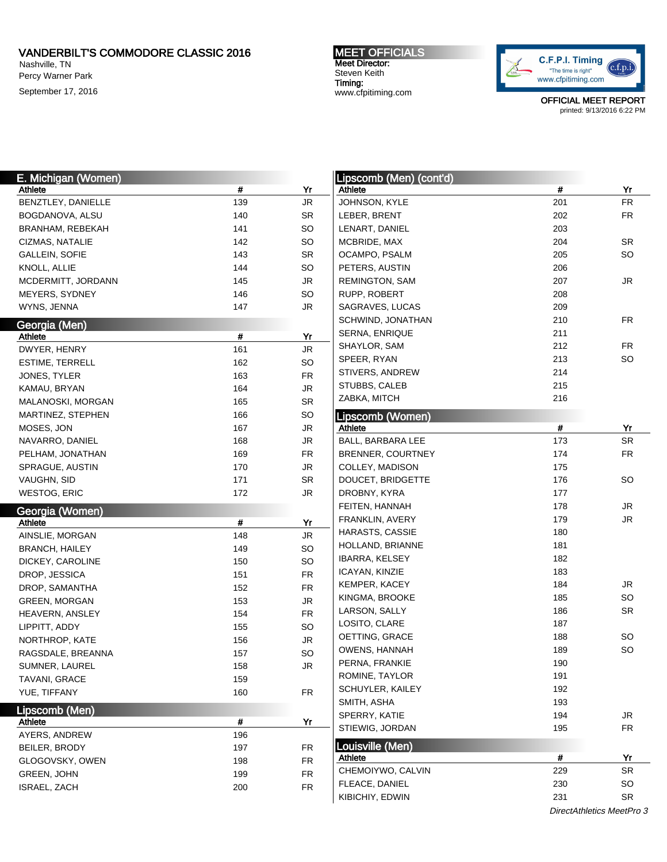Nashville, TN Percy Warner Park September 17, 2016 MEET OFFICIALS Meet Director: Steven Keith Timing: www.cfpitiming.com



OFFICIAL MEET REPORT printed: 9/13/2016 6:22 PM

| E. Michigan (Women)   |     |           | Lipscomb (Men) (cont'd)     |     |           |
|-----------------------|-----|-----------|-----------------------------|-----|-----------|
| Athlete               | #   | Yr        | Athlete                     | #   | Yr        |
| BENZTLEY, DANIELLE    | 139 | JR        | JOHNSON, KYLE               | 201 | <b>FR</b> |
| BOGDANOVA, ALSU       | 140 | SR        | LEBER, BRENT                | 202 | <b>FR</b> |
| BRANHAM, REBEKAH      | 141 | SO        | LENART, DANIEL              | 203 |           |
| CIZMAS, NATALIE       | 142 | SO        | MCBRIDE, MAX                | 204 | <b>SR</b> |
| <b>GALLEIN, SOFIE</b> | 143 | <b>SR</b> | OCAMPO, PSALM               | 205 | SO        |
| KNOLL, ALLIE          | 144 | SO        | PETERS, AUSTIN              | 206 |           |
| MCDERMITT, JORDANN    | 145 | JR        | REMINGTON, SAM              | 207 | JR        |
| MEYERS, SYDNEY        | 146 | SO        | RUPP, ROBERT                | 208 |           |
| WYNS, JENNA           | 147 | JR        | SAGRAVES, LUCAS             | 209 |           |
| Georgia (Men)         |     |           | SCHWIND, JONATHAN           | 210 | FR        |
| <b>Athlete</b>        | #   | Yr        | SERNA, ENRIQUE              | 211 |           |
| DWYER, HENRY          | 161 | JR        | SHAYLOR, SAM                | 212 | FR        |
| ESTIME, TERRELL       | 162 | SO        | SPEER, RYAN                 | 213 | SO        |
| JONES, TYLER          | 163 | FR        | STIVERS, ANDREW             | 214 |           |
| KAMAU, BRYAN          | 164 | JR        | STUBBS, CALEB               | 215 |           |
| MALANOSKI, MORGAN     | 165 | SR        | ZABKA, MITCH                | 216 |           |
| MARTINEZ, STEPHEN     | 166 | SO        |                             |     |           |
| MOSES, JON            | 167 | JR        | Lipscomb (Women)<br>Athlete | #   | Yr        |
| NAVARRO, DANIEL       | 168 | JR        | BALL, BARBARA LEE           | 173 | <b>SR</b> |
| PELHAM, JONATHAN      | 169 | <b>FR</b> | BRENNER, COURTNEY           | 174 | <b>FR</b> |
| SPRAGUE, AUSTIN       | 170 | JR        | COLLEY, MADISON             | 175 |           |
| VAUGHN, SID           | 171 | SR        | DOUCET, BRIDGETTE           | 176 | SO        |
|                       | 172 | JR        | DROBNY, KYRA                | 177 |           |
| WESTOG, ERIC          |     |           |                             | 178 |           |
| Georgia (Women)       |     |           | FEITEN, HANNAH              | 179 | JR<br>JR  |
| Athlete               | #   | Yr        | FRANKLIN, AVERY             | 180 |           |
| AINSLIE, MORGAN       | 148 | JR        | HARASTS, CASSIE             | 181 |           |
| <b>BRANCH, HAILEY</b> | 149 | SO        | HOLLAND, BRIANNE            | 182 |           |
| DICKEY, CAROLINE      | 150 | SO        | <b>IBARRA, KELSEY</b>       |     |           |
| DROP, JESSICA         | 151 | <b>FR</b> | ICAYAN, KINZIE              | 183 |           |
| DROP, SAMANTHA        | 152 | <b>FR</b> | KEMPER, KACEY               | 184 | JR        |
| <b>GREEN, MORGAN</b>  | 153 | JR        | KINGMA, BROOKE              | 185 | SO        |
| HEAVERN, ANSLEY       | 154 | <b>FR</b> | LARSON, SALLY               | 186 | <b>SR</b> |
| LIPPITT, ADDY         | 155 | SO        | LOSITO, CLARE               | 187 |           |
| NORTHROP, KATE        | 156 | JR        | OETTING, GRACE              | 188 | SO        |
| RAGSDALE, BREANNA     | 157 | SO        | OWENS, HANNAH               | 189 | SO        |
| SUMNER, LAUREL        | 158 | JR        | PERNA, FRANKIE              | 190 |           |
| TAVANI, GRACE         | 159 |           | ROMINE, TAYLOR              | 191 |           |
| YUE, TIFFANY          | 160 | FR.       | SCHUYLER, KAILEY            | 192 |           |
| Lipscomb (Men)        |     |           | SMITH, ASHA                 | 193 |           |
| <b>Athlete</b>        | #   | Yr        | SPERRY, KATIE               | 194 | JR        |
| AYERS, ANDREW         | 196 |           | STIEWIG, JORDAN             | 195 | <b>FR</b> |
| BEILER, BRODY         | 197 | FR        | Louisville (Men)            |     |           |
| GLOGOVSKY, OWEN       | 198 | <b>FR</b> | Athlete                     | #   | Yr        |
| GREEN, JOHN           | 199 | <b>FR</b> | CHEMOIYWO, CALVIN           | 229 | SR        |
| ISRAEL, ZACH          | 200 | <b>FR</b> | FLEACE, DANIEL              | 230 | SO        |
|                       |     |           | KIBICHIY, EDWIN             | 231 | SR        |

DirectAthletics MeetPro 3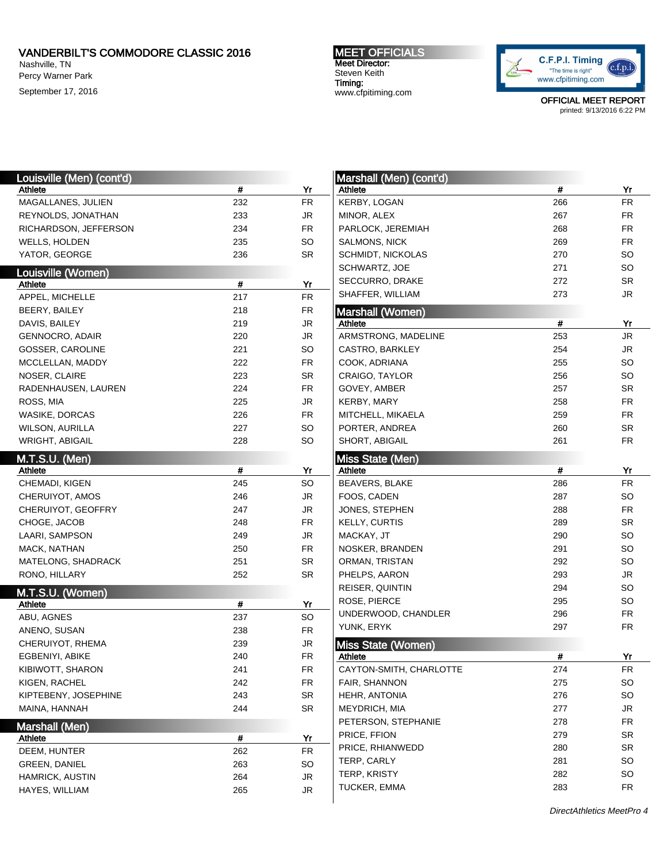Nashville, TN Percy Warner Park September 17, 2016 MEET OFFICIALS Meet Director: Steven Keith Timing: www.cfpitiming.com



OFFICIAL MEET REPORT printed: 9/13/2016 6:22 PM

| Louisville (Men) (cont'd)     |      |                        | Marshall (Men) (cont'd)   |     |            |
|-------------------------------|------|------------------------|---------------------------|-----|------------|
| Athlete                       | $\#$ | Yr                     | Athlete                   | #   | Yr         |
| MAGALLANES, JULIEN            | 232  | <b>FR</b>              | KERBY, LOGAN              | 266 | ${\sf FR}$ |
| REYNOLDS, JONATHAN            | 233  | <b>JR</b>              | MINOR, ALEX               | 267 | <b>FR</b>  |
| RICHARDSON, JEFFERSON         | 234  | FR                     | PARLOCK, JEREMIAH         | 268 | <b>FR</b>  |
| WELLS, HOLDEN                 | 235  | <b>SO</b>              | <b>SALMONS, NICK</b>      | 269 | <b>FR</b>  |
| YATOR, GEORGE                 | 236  | SR                     | <b>SCHMIDT, NICKOLAS</b>  | 270 | <b>SO</b>  |
|                               |      |                        | SCHWARTZ, JOE             | 271 | <b>SO</b>  |
| Louisville (Women)<br>Athlete | $\#$ | Yr                     | SECCURRO, DRAKE           | 272 | SR         |
| APPEL, MICHELLE               | 217  | ${\sf FR}$             | SHAFFER, WILLIAM          | 273 | JR         |
| BEERY, BAILEY                 | 218  | FR                     | <b>Marshall (Women)</b>   |     |            |
| DAVIS, BAILEY                 | 219  | JR                     | Athlete                   | #   | Yr         |
| <b>GENNOCRO, ADAIR</b>        | 220  | JR                     | ARMSTRONG, MADELINE       | 253 | <b>JR</b>  |
| GOSSER, CAROLINE              | 221  | <b>SO</b>              | CASTRO, BARKLEY           | 254 | JR         |
| MCCLELLAN, MADDY              | 222  | <b>FR</b>              | COOK, ADRIANA             | 255 | <b>SO</b>  |
| NOSER, CLAIRE                 | 223  | SR                     | CRAIGO, TAYLOR            | 256 | <b>SO</b>  |
| RADENHAUSEN, LAUREN           | 224  | <b>FR</b>              | GOVEY, AMBER              | 257 | SR         |
| ROSS, MIA                     | 225  | JR                     | KERBY, MARY               | 258 | <b>FR</b>  |
| WASIKE, DORCAS                | 226  | <b>FR</b>              | MITCHELL, MIKAELA         | 259 | <b>FR</b>  |
| <b>WILSON, AURILLA</b>        | 227  | <b>SO</b>              | PORTER, ANDREA            | 260 | SR         |
| <b>WRIGHT, ABIGAIL</b>        | 228  | SO                     | SHORT, ABIGAIL            | 261 | <b>FR</b>  |
|                               |      |                        |                           |     |            |
| <b>M.T.S.U. (Men)</b>         |      |                        | <b>Miss State (Men)</b>   |     |            |
| Athlete                       | $\#$ | Yr                     | Athlete                   | #   | Yr         |
| CHEMADI, KIGEN                | 245  | <b>SO</b>              | <b>BEAVERS, BLAKE</b>     | 286 | <b>FR</b>  |
| CHERUIYOT, AMOS               | 246  | JR                     | FOOS, CADEN               | 287 | <b>SO</b>  |
| CHERUIYOT, GEOFFRY            | 247  | JR                     | JONES, STEPHEN            | 288 | <b>FR</b>  |
| CHOGE, JACOB                  | 248  | <b>FR</b>              | <b>KELLY, CURTIS</b>      | 289 | SR         |
| LAARI, SAMPSON                | 249  | JR                     | MACKAY, JT                | 290 | <b>SO</b>  |
| MACK, NATHAN                  | 250  | <b>FR</b>              | NOSKER, BRANDEN           | 291 | <b>SO</b>  |
| MATELONG, SHADRACK            | 251  | SR                     | ORMAN, TRISTAN            | 292 | <b>SO</b>  |
| RONO, HILLARY                 | 252  | SR                     | PHELPS, AARON             | 293 | <b>JR</b>  |
| M.T.S.U. (Women)              |      |                        | REISER, QUINTIN           | 294 | <b>SO</b>  |
| Athlete                       | #    | Yr                     | ROSE, PIERCE              | 295 | <b>SO</b>  |
| ABU, AGNES                    | 237  | <b>SO</b>              | UNDERWOOD, CHANDLER       | 296 | <b>FR</b>  |
| ANENO, SUSAN                  | 238  | <b>FR</b>              | YUNK, ERYK                | 297 | <b>FR</b>  |
| CHERUIYOT, RHEMA              | 239  | $\mathsf{J}\mathsf{R}$ | <b>Miss State (Women)</b> |     |            |
| EGBENIYI, ABIKE               | 240  | FR                     | Athlete                   | #   | <u>Yr</u>  |
| KIBIWOTT, SHARON              | 241  | <b>FR</b>              | CAYTON-SMITH, CHARLOTTE   | 274 | <b>FR</b>  |
| KIGEN, RACHEL                 | 242  | FR                     | FAIR, SHANNON             | 275 | <b>SO</b>  |
| KIPTEBENY, JOSEPHINE          | 243  | SR                     | HEHR, ANTONIA             | 276 | SO         |
| MAINA, HANNAH                 | 244  | SR                     | MEYDRICH, MIA             | 277 | JR         |
| Marshall (Men)                |      |                        | PETERSON, STEPHANIE       | 278 | FR         |
| Athlete                       | #    | Yr                     | PRICE, FFION              | 279 | SR         |
| DEEM, HUNTER                  | 262  | <b>FR</b>              | PRICE, RHIANWEDD          | 280 | SR         |
| <b>GREEN, DANIEL</b>          | 263  | SO                     | TERP, CARLY               | 281 | SO         |
| HAMRICK, AUSTIN               | 264  | <b>JR</b>              | TERP, KRISTY              | 282 | SO         |
| HAYES, WILLIAM                | 265  | JR                     | TUCKER, EMMA              | 283 | FR         |
|                               |      |                        |                           |     |            |

DirectAthletics MeetPro 4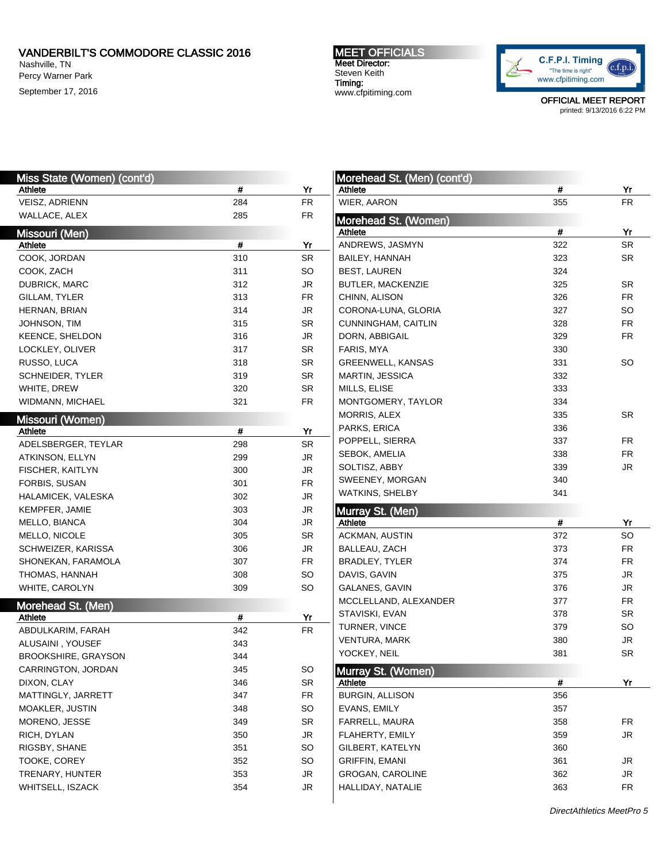Nashville, TN Percy Warner Park September 17, 2016 MEET OFFICIALS Meet Director: Steven Keith Timing: www.cfpitiming.com



| Miss State (Women) (cont'd) |      |                        | Morehead St. (Men) (cont'd) |      |           |
|-----------------------------|------|------------------------|-----------------------------|------|-----------|
| Athlete                     | #    | Yr                     | Athlete                     | $\#$ | Yr        |
| VEISZ, ADRIENN              | 284  | ${\sf FR}$             | WIER, AARON                 | 355  | <b>FR</b> |
| WALLACE, ALEX               | 285  | <b>FR</b>              | Morehead St. (Women)        |      |           |
| Missouri (Men)              |      |                        | Athlete                     | $\#$ | Yr        |
| Athlete                     | #    | Yr                     | ANDREWS, JASMYN             | 322  | SR        |
| COOK, JORDAN                | 310  | SR                     | BAILEY, HANNAH              | 323  | SR        |
| COOK, ZACH                  | 311  | SO                     | <b>BEST, LAUREN</b>         | 324  |           |
| DUBRICK, MARC               | 312  | JR                     | BUTLER, MACKENZIE           | 325  | <b>SR</b> |
| GILLAM, TYLER               | 313  | <b>FR</b>              | CHINN, ALISON               | 326  | <b>FR</b> |
| HERNAN, BRIAN               | 314  | <b>JR</b>              | CORONA-LUNA, GLORIA         | 327  | <b>SO</b> |
| JOHNSON, TIM                | 315  | <b>SR</b>              | CUNNINGHAM, CAITLIN         | 328  | <b>FR</b> |
| KEENCE, SHELDON             | 316  | JR                     | DORN, ABBIGAIL              | 329  | <b>FR</b> |
| LOCKLEY, OLIVER             | 317  | <b>SR</b>              | FARIS, MYA                  | 330  |           |
| RUSSO, LUCA                 | 318  | <b>SR</b>              | GREENWELL, KANSAS           | 331  | <b>SO</b> |
| <b>SCHNEIDER, TYLER</b>     | 319  | <b>SR</b>              | MARTIN, JESSICA             | 332  |           |
| WHITE, DREW                 | 320  | SR                     | MILLS, ELISE                | 333  |           |
| WIDMANN, MICHAEL            | 321  | <b>FR</b>              | MONTGOMERY, TAYLOR          | 334  |           |
|                             |      |                        | MORRIS, ALEX                | 335  | <b>SR</b> |
| Missouri (Women)<br>Athlete | $\#$ | Yr                     | PARKS, ERICA                | 336  |           |
| ADELSBERGER, TEYLAR         | 298  | <b>SR</b>              | POPPELL, SIERRA             | 337  | <b>FR</b> |
| ATKINSON, ELLYN             | 299  | $\mathsf{J}\mathsf{R}$ | SEBOK, AMELIA               | 338  | <b>FR</b> |
| FISCHER, KAITLYN            | 300  | <b>JR</b>              | SOLTISZ, ABBY               | 339  | <b>JR</b> |
| FORBIS, SUSAN               | 301  | <b>FR</b>              | SWEENEY, MORGAN             | 340  |           |
| HALAMICEK, VALESKA          | 302  | $\mathsf{J}\mathsf{R}$ | <b>WATKINS, SHELBY</b>      | 341  |           |
| KEMPFER, JAMIE              | 303  | $\mathsf{J}\mathsf{R}$ |                             |      |           |
| MELLO, BIANCA               | 304  | JR                     | Murray St. (Men)<br>Athlete | $\#$ | Yr        |
| MELLO, NICOLE               | 305  | <b>SR</b>              | <b>ACKMAN, AUSTIN</b>       | 372  | SO        |
| SCHWEIZER, KARISSA          | 306  | <b>JR</b>              | BALLEAU, ZACH               | 373  | <b>FR</b> |
| SHONEKAN, FARAMOLA          | 307  | <b>FR</b>              | BRADLEY, TYLER              | 374  | <b>FR</b> |
| THOMAS, HANNAH              | 308  | SO                     | DAVIS, GAVIN                | 375  | <b>JR</b> |
| WHITE, CAROLYN              | 309  | SO                     | GALANES, GAVIN              | 376  | <b>JR</b> |
|                             |      |                        | MCCLELLAND, ALEXANDER       | 377  | <b>FR</b> |
| Morehead St. (Men)          |      |                        | STAVISKI, EVAN              | 378  | SR        |
| Athlete                     | $\#$ | Yr                     | TURNER, VINCE               | 379  | <b>SO</b> |
| ABDULKARIM, FARAH           | 342  | <b>FR</b>              | <b>VENTURA, MARK</b>        | 380  | <b>JR</b> |
| ALUSAINI, YOUSEF            | 343  |                        |                             | 381  | SR        |
| <b>BROOKSHIRE, GRAYSON</b>  | 344  |                        | YOCKEY, NEIL                |      |           |
| CARRINGTON, JORDAN          | 345  | SO                     | Murray St. (Women)          |      |           |
| DIXON, CLAY                 | 346  | SR                     | Athlete                     | #    | <u>Yr</u> |
| MATTINGLY, JARRETT          | 347  | <b>FR</b>              | <b>BURGIN, ALLISON</b>      | 356  |           |
| MOAKLER, JUSTIN             | 348  | <b>SO</b>              | EVANS, EMILY                | 357  |           |
| MORENO, JESSE               | 349  | <b>SR</b>              | FARRELL, MAURA              | 358  | <b>FR</b> |
| RICH, DYLAN                 | 350  | JR                     | FLAHERTY, EMILY             | 359  | JR        |
| RIGSBY, SHANE               | 351  | <b>SO</b>              | GILBERT, KATELYN            | 360  |           |
| TOOKE, COREY                | 352  | SO                     | <b>GRIFFIN, EMANI</b>       | 361  | JR        |
| TRENARY, HUNTER             |      |                        |                             |      |           |
|                             | 353  | JR                     | GROGAN, CAROLINE            | 362  | JR.       |
| WHITSELL, ISZACK            | 354  | JR                     | HALLIDAY, NATALIE           | 363  | <b>FR</b> |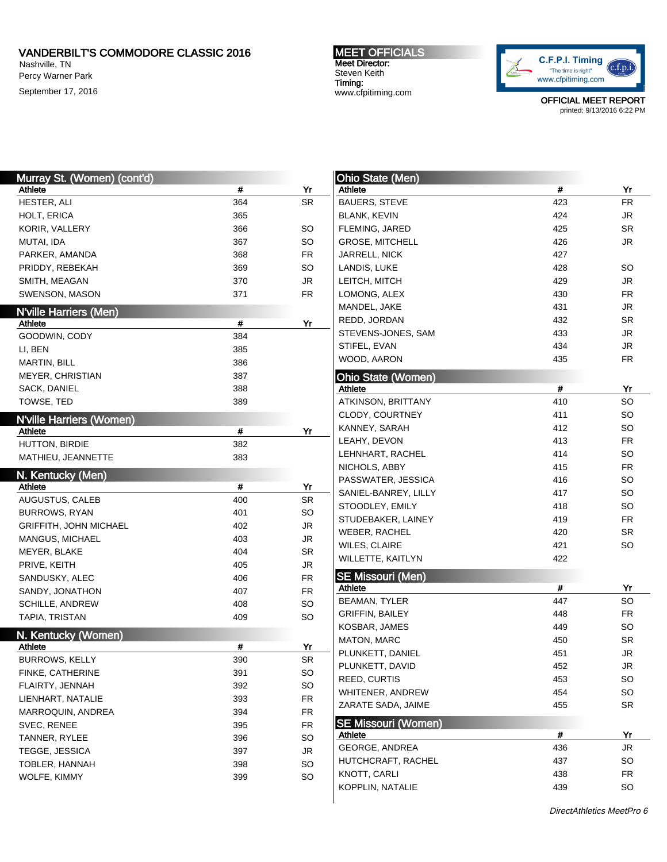Nashville, TN Percy Warner Park September 17, 2016

## MEET OFFICIALS Meet Director: Steven Keith Timing: www.cfpitiming.com



| Murray St. (Women) (cont'd)          |     |                        | <b>Ohio State (Men)</b>             |     |           |
|--------------------------------------|-----|------------------------|-------------------------------------|-----|-----------|
| Athlete                              | #   | Yr                     | Athlete                             | #   | Yr        |
| HESTER, ALI                          | 364 | <b>SR</b>              | <b>BAUERS, STEVE</b>                | 423 | <b>FR</b> |
| HOLT, ERICA                          | 365 |                        | <b>BLANK, KEVIN</b>                 | 424 | JR        |
| KORIR, VALLERY                       | 366 | <b>SO</b>              | FLEMING, JARED                      | 425 | SR        |
| MUTAI, IDA                           | 367 | <b>SO</b>              | <b>GROSE, MITCHELL</b>              | 426 | JR        |
| PARKER, AMANDA                       | 368 | FR.                    | <b>JARRELL, NICK</b>                | 427 |           |
| PRIDDY, REBEKAH                      | 369 | SO                     | LANDIS, LUKE                        | 428 | <b>SO</b> |
| SMITH, MEAGAN                        | 370 | <b>JR</b>              | LEITCH, MITCH                       | 429 | JR        |
| SWENSON, MASON                       | 371 | <b>FR</b>              | LOMONG, ALEX                        | 430 | <b>FR</b> |
| <b>N'ville Harriers (Men)</b>        |     |                        | MANDEL, JAKE                        | 431 | JR        |
| Athlete                              | #   | Yr                     | REDD, JORDAN                        | 432 | SR        |
| GOODWIN, CODY                        | 384 |                        | STEVENS-JONES, SAM                  | 433 | JR        |
| LI, BEN                              | 385 |                        | STIFEL, EVAN                        | 434 | JR        |
| <b>MARTIN, BILL</b>                  | 386 |                        | WOOD, AARON                         | 435 | <b>FR</b> |
| MEYER, CHRISTIAN                     | 387 |                        | <b>Ohio State (Women)</b>           |     |           |
| SACK, DANIEL                         | 388 |                        | Athlete                             | #   | Yr        |
| TOWSE, TED                           | 389 |                        | ATKINSON, BRITTANY                  | 410 | SO        |
|                                      |     |                        | CLODY, COURTNEY                     | 411 | <b>SO</b> |
| <b>N'ville Harriers (Women)</b>      |     |                        | KANNEY, SARAH                       | 412 | <b>SO</b> |
| Athlete                              | #   | Yr                     | LEAHY, DEVON                        | 413 | <b>FR</b> |
| HUTTON, BIRDIE<br>MATHIEU, JEANNETTE | 382 |                        | LEHNHART, RACHEL                    | 414 | <b>SO</b> |
|                                      | 383 |                        | NICHOLS, ABBY                       | 415 | <b>FR</b> |
| N. Kentucky (Men)                    |     |                        | PASSWATER, JESSICA                  | 416 | <b>SO</b> |
| Athlete                              | #   | Yr                     | SANIEL-BANREY, LILLY                | 417 | <b>SO</b> |
| AUGUSTUS, CALEB                      | 400 | <b>SR</b>              | STOODLEY, EMILY                     | 418 | <b>SO</b> |
| <b>BURROWS, RYAN</b>                 | 401 | <b>SO</b>              | STUDEBAKER, LAINEY                  | 419 | <b>FR</b> |
| <b>GRIFFITH, JOHN MICHAEL</b>        | 402 | <b>JR</b>              | WEBER, RACHEL                       | 420 | SR        |
| MANGUS, MICHAEL                      | 403 | $\mathsf{J}\mathsf{R}$ | WILES, CLAIRE                       | 421 | <b>SO</b> |
| MEYER, BLAKE                         | 404 | <b>SR</b>              | WILLETTE, KAITLYN                   | 422 |           |
| PRIVE, KEITH                         | 405 | <b>JR</b>              |                                     |     |           |
| SANDUSKY, ALEC                       | 406 | <b>FR</b>              | <b>SE Missouri (Men)</b><br>Athlete | #   | Yr        |
| SANDY, JONATHON                      | 407 | FR                     | <b>BEAMAN, TYLER</b>                | 447 | <b>SO</b> |
| SCHILLE, ANDREW                      | 408 | <b>SO</b>              | <b>GRIFFIN, BAILEY</b>              | 448 | <b>FR</b> |
| TAPIA, TRISTAN                       | 409 | SO                     | KOSBAR, JAMES                       | 449 | SO        |
| N. Kentucky (Women)                  |     |                        | MATON, MARC                         | 450 | SR        |
| Athlete                              | #   | Yr                     | PLUNKETT, DANIEL                    | 451 | JR        |
| <b>BURROWS, KELLY</b>                | 390 | SR                     | PLUNKETT, DAVID                     | 452 | JR        |
| FINKE, CATHERINE                     | 391 | <b>SO</b>              | REED, CURTIS                        | 453 | <b>SO</b> |
| FLAIRTY, JENNAH                      | 392 | SO                     | WHITENER, ANDREW                    | 454 | <b>SO</b> |
| LIENHART, NATALIE                    | 393 | <b>FR</b>              | ZARATE SADA, JAIME                  | 455 | SR        |
| MARROQUIN, ANDREA                    | 394 | <b>FR</b>              |                                     |     |           |
| SVEC, RENEE                          | 395 | <b>FR</b>              | <b>SE Missouri (Women)</b>          |     |           |
| TANNER, RYLEE                        | 396 | <b>SO</b>              | Athlete                             | #   | Yr        |
| <b>TEGGE, JESSICA</b>                | 397 | JR                     | GEORGE, ANDREA                      | 436 | JR        |
| TOBLER, HANNAH                       | 398 | <b>SO</b>              | HUTCHCRAFT, RACHEL                  | 437 | SO        |
| WOLFE, KIMMY                         | 399 | <b>SO</b>              | KNOTT, CARLI                        | 438 | <b>FR</b> |
|                                      |     |                        | KOPPLIN, NATALIE                    | 439 | SO        |
|                                      |     |                        |                                     |     |           |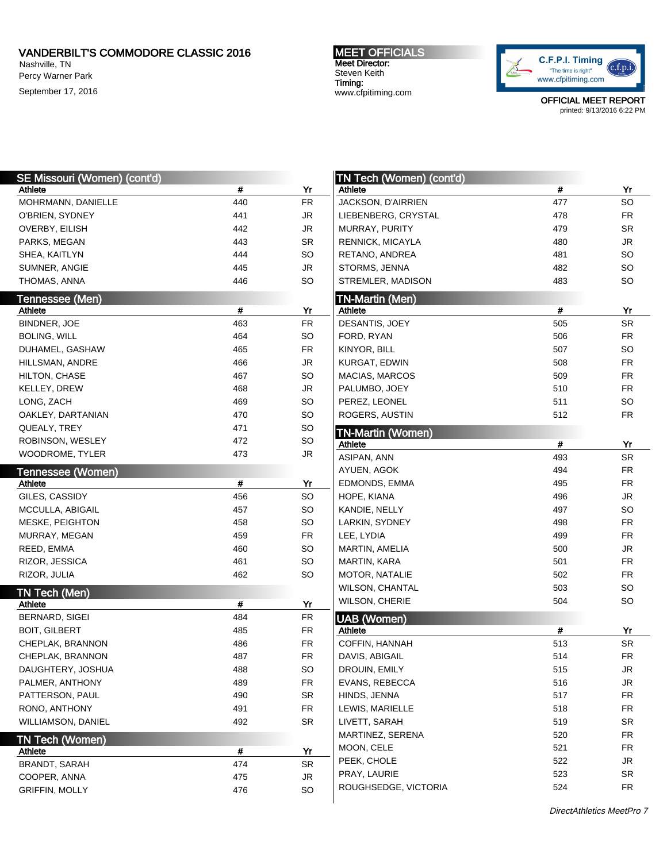Nashville, TN Percy Warner Park September 17, 2016 MEET OFFICIALS Meet Director: Steven Keith Timing: www.cfpitiming.com



| SE Missouri (Women) (cont'd)        |     |                        | <b>TN Tech (Women) (cont'd)</b>     |     |                        |
|-------------------------------------|-----|------------------------|-------------------------------------|-----|------------------------|
| Athlete                             | #   | Yr                     | Athlete                             | #   | Yr                     |
| MOHRMANN, DANIELLE                  | 440 | ${\sf FR}$             | JACKSON, D'AIRRIEN                  | 477 | SO                     |
| O'BRIEN, SYDNEY                     | 441 | JR                     | LIEBENBERG, CRYSTAL                 | 478 | ${\sf FR}$             |
| OVERBY, EILISH                      | 442 | JR                     | MURRAY, PURITY                      | 479 | SR                     |
| PARKS, MEGAN                        | 443 | SR                     | <b>RENNICK, MICAYLA</b>             | 480 | JR                     |
| SHEA, KAITLYN                       | 444 | SO                     | RETANO, ANDREA                      | 481 | SO                     |
| SUMNER, ANGIE                       | 445 | $\mathsf{J}\mathsf{R}$ | STORMS, JENNA                       | 482 | SO                     |
| THOMAS, ANNA                        | 446 | SO                     | STREMLER, MADISON                   | 483 | SO                     |
| Tennessee (Men)                     |     |                        | <b>TN-Martin (Men)</b>              |     |                        |
| Athlete                             | #   | Yr                     | Athlete                             | #   | Yr                     |
| BINDNER, JOE                        | 463 | ${\sf FR}$             | DESANTIS, JOEY                      | 505 | SR                     |
| <b>BOLING, WILL</b>                 | 464 | SO                     | FORD, RYAN                          | 506 | <b>FR</b>              |
| DUHAMEL, GASHAW                     | 465 | FR                     | KINYOR, BILL                        | 507 | SO                     |
| HILLSMAN, ANDRE                     | 466 | JR                     | KURGAT, EDWIN                       | 508 | <b>FR</b>              |
| HILTON, CHASE                       | 467 | SO                     | <b>MACIAS, MARCOS</b>               | 509 | <b>FR</b>              |
| KELLEY, DREW                        | 468 | JR                     | PALUMBO, JOEY                       | 510 | <b>FR</b>              |
| LONG, ZACH                          | 469 | SO                     | PEREZ, LEONEL                       | 511 | SO                     |
| OAKLEY, DARTANIAN                   | 470 | SO                     | ROGERS, AUSTIN                      | 512 | ${\sf FR}$             |
| QUEALY, TREY                        | 471 | SO                     |                                     |     |                        |
| ROBINSON, WESLEY                    | 472 | SO                     | <b>TN-Martin (Women)</b><br>Athlete | #   | Yr                     |
| WOODROME, TYLER                     | 473 | JR                     | ASIPAN, ANN                         | 493 | SR                     |
|                                     |     |                        | AYUEN, AGOK                         | 494 | <b>FR</b>              |
| Tennessee (Women)<br><b>Athlete</b> | #   | Yr                     | EDMONDS, EMMA                       | 495 | <b>FR</b>              |
| GILES, CASSIDY                      | 456 | SO                     | HOPE, KIANA                         | 496 | JR                     |
| MCCULLA, ABIGAIL                    | 457 | SO                     | KANDIE, NELLY                       | 497 | SO                     |
| MESKE, PEIGHTON                     | 458 | SO                     | LARKIN, SYDNEY                      | 498 | <b>FR</b>              |
| MURRAY, MEGAN                       | 459 | FR                     | LEE, LYDIA                          | 499 | <b>FR</b>              |
| REED, EMMA                          | 460 | SO                     | MARTIN, AMELIA                      | 500 | JR                     |
|                                     | 461 | SO                     | <b>MARTIN, KARA</b>                 | 501 | <b>FR</b>              |
| RIZOR, JESSICA<br>RIZOR, JULIA      | 462 | SO                     |                                     | 502 | <b>FR</b>              |
|                                     |     |                        | MOTOR, NATALIE                      | 503 | SO                     |
| TN Tech (Men)                       |     |                        | WILSON, CHANTAL                     |     |                        |
| Athlete                             | #   | Yr                     | WILSON, CHERIE                      | 504 | SO                     |
| BERNARD, SIGEI                      | 484 | ${\sf FR}$             | <b>UAB</b> (Women)                  |     |                        |
| <b>BOIT, GILBERT</b>                | 485 | FR                     | Athlete                             | #   | Yr                     |
| CHEPLAK, BRANNON                    | 486 | FR                     | COFFIN, HANNAH                      | 513 | SR                     |
| CHEPLAK, BRANNON                    | 487 | ${\sf FR}$             | DAVIS, ABIGAIL                      | 514 | ${\sf FR}$             |
| DAUGHTERY, JOSHUA                   | 488 | SO                     | DROUIN, EMILY                       | 515 | <b>JR</b>              |
| PALMER, ANTHONY                     | 489 | FR                     | EVANS, REBECCA                      | 516 | $\mathsf{J}\mathsf{R}$ |
| PATTERSON, PAUL                     | 490 | SR                     | HINDS, JENNA                        | 517 | <b>FR</b>              |
| RONO, ANTHONY                       | 491 | FR                     | LEWIS, MARIELLE                     | 518 | <b>FR</b>              |
| WILLIAMSON, DANIEL                  | 492 | SR                     | LIVETT, SARAH                       | 519 | SR                     |
| TN Tech (Women)                     |     |                        | MARTINEZ, SERENA                    | 520 | <b>FR</b>              |
| <b>Athlete</b>                      | #   | Yr                     | MOON, CELE                          | 521 | <b>FR</b>              |
| BRANDT, SARAH                       | 474 | SR                     | PEEK, CHOLE                         | 522 | $\mathsf{J}\mathsf{R}$ |
| COOPER, ANNA                        | 475 | $\mathsf{JR}$          | PRAY, LAURIE                        | 523 | SR                     |
| <b>GRIFFIN, MOLLY</b>               | 476 | SO                     | ROUGHSEDGE, VICTORIA                | 524 | FR                     |
|                                     |     |                        |                                     |     |                        |